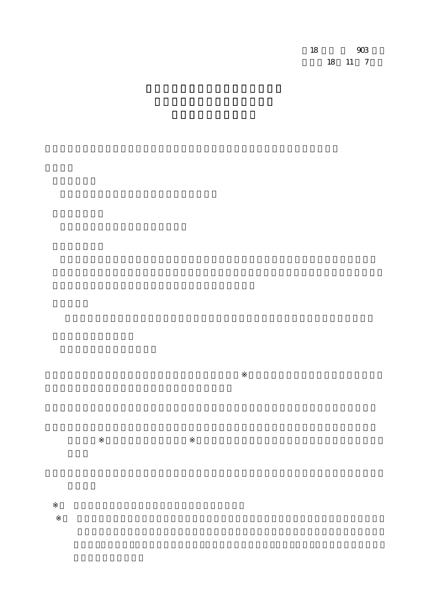18 903 18 11 7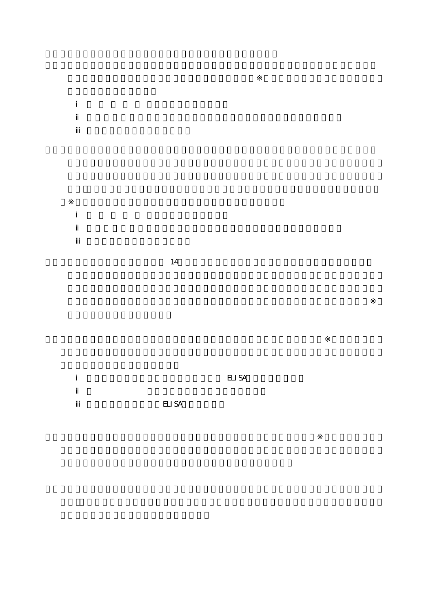14

**ELISA** 

**ELISA**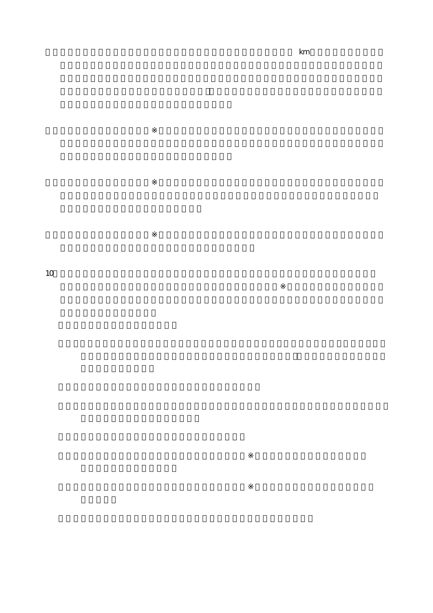km

10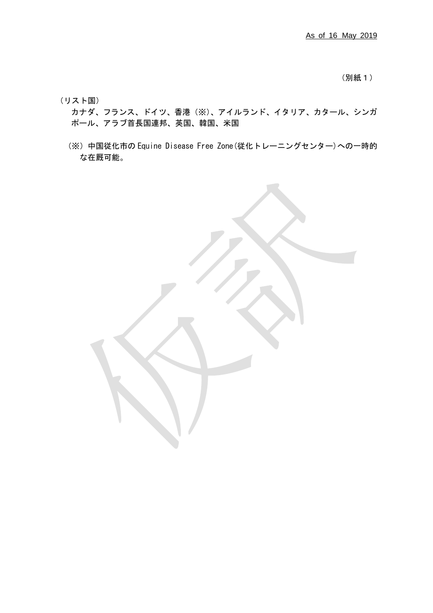(別紙1)

(リスト国)

カナダ、フランス、ドイツ、香港(※)、アイルランド、イタリア、カタール、シンガ ポール、アラブ首長国連邦、英国、韓国、米国

(※)中国従化市の Equine Disease Free Zone(従化トレーニングセンター)への一時的 な在厩可能。

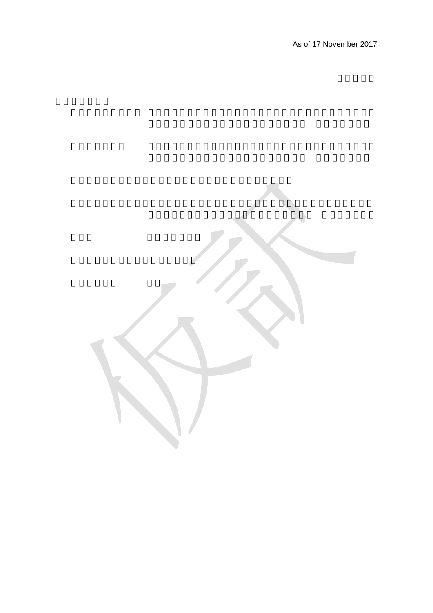As of 17 November 2017

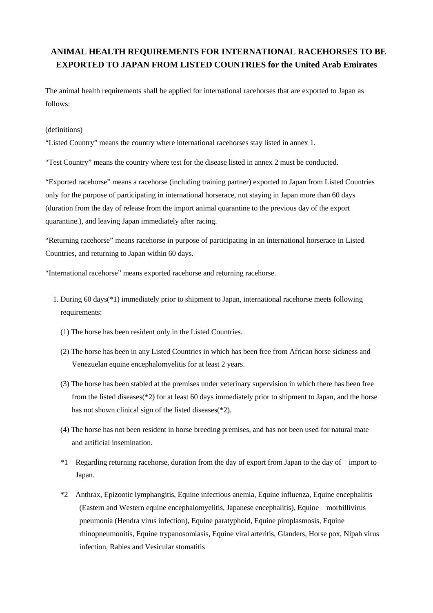## **ANIMAL HEALTH REQUIREMENTS FOR INTERNATIONAL RACEHORSES TO BE EXPORTED TO JAPAN FROM LISTED COUNTRIES for the United Arab Emirates**

The animal health requirements shall be applied for international racehorses that are exported to Japan as follows:

## (definitions)

"Listed Country" means the country where international racehorses stay listed in annex 1.

"Test Country" means the country where test for the disease listed in annex 2 must be conducted.

"Exported racehorse" means a racehorse (including training partner) exported to Japan from Listed Countries only for the purpose of participating in international horserace, not staying in Japan more than 60 days (duration from the day of release from the import animal quarantine to the previous day of the export quarantine.), and leaving Japan immediately after racing.

"Returning racehorse" means racehorse in purpose of participating in an international horserace in Listed Countries, and returning to Japan within 60 days.

"International racehorse" means exported racehorse and returning racehorse.

- 1. During 60 days(\*1) immediately prior to shipment to Japan, international racehorse meets following requirements:
	- (1) The horse has been resident only in the Listed Countries.
	- (2) The horse has been in any Listed Countries in which has been free from African horse sickness and Venezuelan equine encephalomyelitis for at least 2 years.
	- (3) The horse has been stabled at the premises under veterinary supervision in which there has been free from the listed diseases(\*2) for at least 60 days immediately prior to shipment to Japan, and the horse has not shown clinical sign of the listed diseases(\*2).
	- (4) The horse has not been resident in horse breeding premises, and has not been used for natural mate and artificial insemination.
	- \*1 Regarding returning racehorse, duration from the day of export from Japan to the day of import to Japan.
	- \*2 Anthrax, Epizootic lymphangitis, Equine infectious anemia, Equine influenza, Equine encephalitis (Eastern and Western equine encephalomyelitis, Japanese encephalitis), Equine morbillivirus pneumonia (Hendra virus infection), Equine paratyphoid, Equine piroplasmosis, Equine rhinopneumonitis, Equine trypanosomiasis, Equine viral arteritis, Glanders, Horse pox, Nipah virus infection, Rabies and Vesicular stomatitis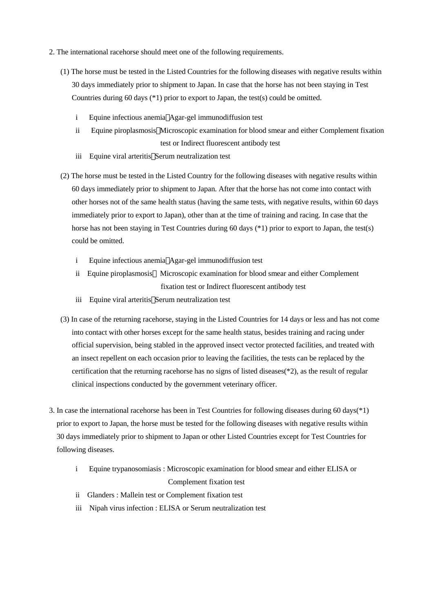- 2. The international racehorse should meet one of the following requirements.
	- (1) The horse must be tested in the Listed Countries for the following diseases with negative results within 30 days immediately prior to shipment to Japan. In case that the horse has not been staying in Test Countries during 60 days (\*1) prior to export to Japan, the test(s) could be omitted.
		- i Equine infectious anemia Agar-gel immunodiffusion test
		- ii Equine piroplasmosis Microscopic examination for blood smear and either Complement fixation test or Indirect fluorescent antibody test
		- iii Equine viral arteritis Serum neutralization test
	- (2) The horse must be tested in the Listed Country for the following diseases with negative results within 60 days immediately prior to shipment to Japan. After that the horse has not come into contact with other horses not of the same health status (having the same tests, with negative results, within 60 days immediately prior to export to Japan), other than at the time of training and racing. In case that the horse has not been staying in Test Countries during 60 days (\*1) prior to export to Japan, the test(s) could be omitted.
		- i Equine infectious anemia Agar-gel immunodiffusion test
		- ii Equine piroplasmosis Microscopic examination for blood smear and either Complement fixation test or Indirect fluorescent antibody test
		- iii Equine viral arteritis Serum neutralization test
	- (3) In case of the returning racehorse, staying in the Listed Countries for 14 days or less and has not come into contact with other horses except for the same health status, besides training and racing under official supervision, being stabled in the approved insect vector protected facilities, and treated with an insect repellent on each occasion prior to leaving the facilities, the tests can be replaced by the certification that the returning racehorse has no signs of listed diseases(\*2), as the result of regular clinical inspections conducted by the government veterinary officer.
- 3. In case the international racehorse has been in Test Countries for following diseases during 60 days(\*1) prior to export to Japan, the horse must be tested for the following diseases with negative results within 30 days immediately prior to shipment to Japan or other Listed Countries except for Test Countries for following diseases.
	- i Equine trypanosomiasis : Microscopic examination for blood smear and either ELISA or Complement fixation test
	- ii Glanders : Mallein test or Complement fixation test
	- iii Nipah virus infection : ELISA or Serum neutralization test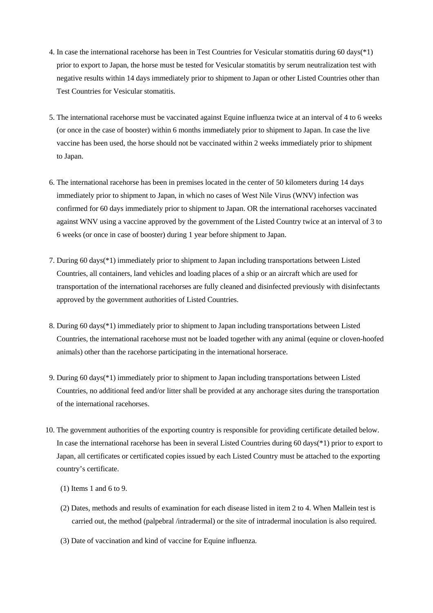- 4. In case the international racehorse has been in Test Countries for Vesicular stomatitis during 60 days(\*1) prior to export to Japan, the horse must be tested for Vesicular stomatitis by serum neutralization test with negative results within 14 days immediately prior to shipment to Japan or other Listed Countries other than Test Countries for Vesicular stomatitis.
- 5. The international racehorse must be vaccinated against Equine influenza twice at an interval of 4 to 6 weeks (or once in the case of booster) within 6 months immediately prior to shipment to Japan. In case the live vaccine has been used, the horse should not be vaccinated within 2 weeks immediately prior to shipment to Japan.
- 6. The international racehorse has been in premises located in the center of 50 kilometers during 14 days immediately prior to shipment to Japan, in which no cases of West Nile Virus (WNV) infection was confirmed for 60 days immediately prior to shipment to Japan. OR the international racehorses vaccinated against WNV using a vaccine approved by the government of the Listed Country twice at an interval of 3 to 6 weeks (or once in case of booster) during 1 year before shipment to Japan.
- 7. During 60 days(\*1) immediately prior to shipment to Japan including transportations between Listed Countries, all containers, land vehicles and loading places of a ship or an aircraft which are used for transportation of the international racehorses are fully cleaned and disinfected previously with disinfectants approved by the government authorities of Listed Countries.
- 8. During 60 days(\*1) immediately prior to shipment to Japan including transportations between Listed Countries, the international racehorse must not be loaded together with any animal (equine or cloven-hoofed animals) other than the racehorse participating in the international horserace.
- 9. During 60 days(\*1) immediately prior to shipment to Japan including transportations between Listed Countries, no additional feed and/or litter shall be provided at any anchorage sites during the transportation of the international racehorses.
- 10. The government authorities of the exporting country is responsible for providing certificate detailed below. In case the international racehorse has been in several Listed Countries during 60 days(\*1) prior to export to Japan, all certificates or certificated copies issued by each Listed Country must be attached to the exporting country's certificate.
	- (1) Items 1 and 6 to 9.
	- (2) Dates, methods and results of examination for each disease listed in item 2 to 4. When Mallein test is carried out, the method (palpebral /intradermal) or the site of intradermal inoculation is also required.
	- (3) Date of vaccination and kind of vaccine for Equine influenza.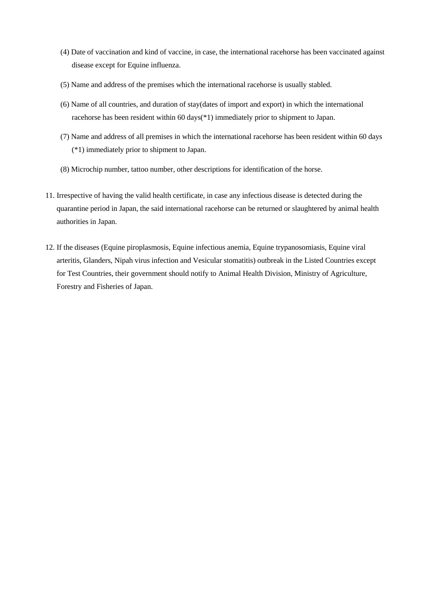- (4) Date of vaccination and kind of vaccine, in case, the international racehorse has been vaccinated against disease except for Equine influenza.
- (5) Name and address of the premises which the international racehorse is usually stabled.
- (6) Name of all countries, and duration of stay(dates of import and export) in which the international racehorse has been resident within 60 days(\*1) immediately prior to shipment to Japan.
- (7) Name and address of all premises in which the international racehorse has been resident within 60 days (\*1) immediately prior to shipment to Japan.
- (8) Microchip number, tattoo number, other descriptions for identification of the horse.
- 11. Irrespective of having the valid health certificate, in case any infectious disease is detected during the quarantine period in Japan, the said international racehorse can be returned or slaughtered by animal health authorities in Japan.
- 12. If the diseases (Equine piroplasmosis, Equine infectious anemia, Equine trypanosomiasis, Equine viral arteritis, Glanders, Nipah virus infection and Vesicular stomatitis) outbreak in the Listed Countries except for Test Countries, their government should notify to Animal Health Division, Ministry of Agriculture, Forestry and Fisheries of Japan.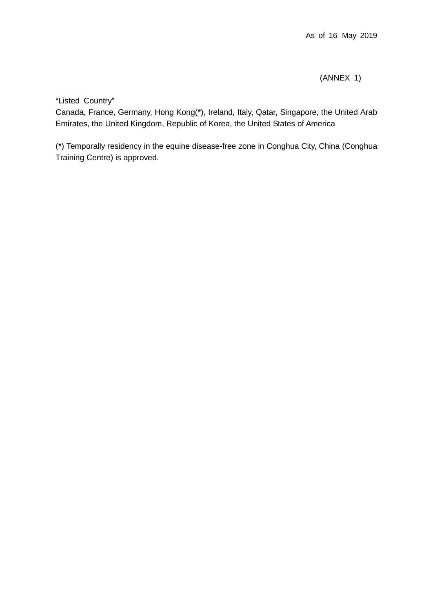(ANNEX 1)

"Listed Country"

Canada, France, Germany, Hong Kong(\*), Ireland, Italy, Qatar, Singapore, the United Arab Emirates, the United Kingdom, Republic of Korea, the United States of America

(\*) Temporally residency in the equine disease-free zone in Conghua City, China (Conghua Training Centre) is approved.